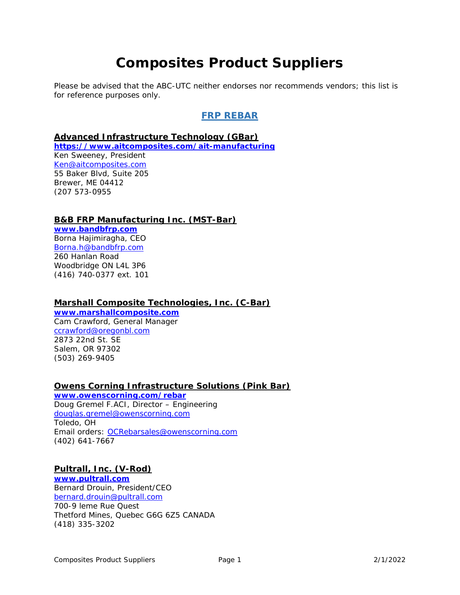# **Composites Product Suppliers**

Please be advised that the ABC-UTC neither endorses nor recommends vendors; this list is for reference purposes only.

# **FRP REBAR**

#### **Advanced Infrastructure Technology (GBar)**

**https://www.aitcomposites.com/ait-manufacturing**  Ken Sweeney, President Ken@aitcomposites.com 55 Baker Blvd, Suite 205 Brewer, ME 04412 (207 573-0955

#### **B&B FRP Manufacturing Inc. (MST-Bar)**

**www.bandbfrp.com** Borna Hajimiragha, CEO Borna.h@bandbfrp.com 260 Hanlan Road Woodbridge ON L4L 3P6 (416) 740-0377 ext. 101

#### **Marshall Composite Technologies, Inc. (C-Bar)**

**www.marshallcomposite.com**  Cam Crawford, General Manager ccrawford@oregonbl.com 2873 22nd St. SE Salem, OR 97302 (503) 269-9405

#### **Owens Corning Infrastructure Solutions (Pink Bar)**

**www.owenscorning.com/rebar** Doug Gremel F.ACI, Director – Engineering douglas.gremel@owenscorning.com Toledo, OH Email orders: OCRebarsales@owenscorning.com (402) 641-7667

#### **Pultrall, Inc. (V-Rod)**

**www.pultrall.com** Bernard Drouin, President/CEO bernard.drouin@pultrall.com 700-9 leme Rue Quest Thetford Mines, Quebec G6G 6Z5 CANADA (418) 335-3202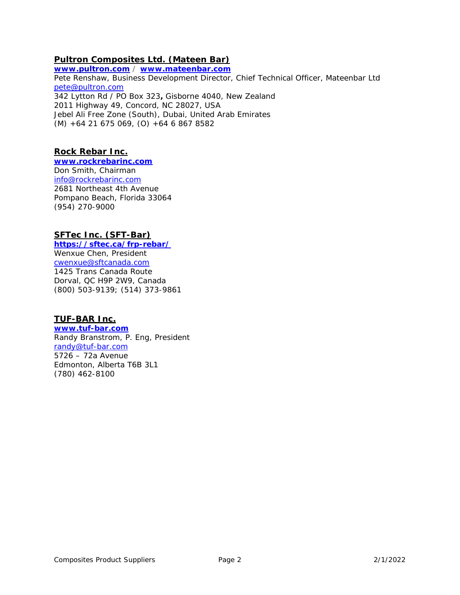# **Pultron Composites Ltd. (Mateen Bar)**

**www.pultron.com / www.mateenbar.com** Pete Renshaw, Business Development Director, Chief Technical Officer, Mateenbar Ltd pete@pultron.com 342 Lytton Rd / PO Box 323**,** Gisborne 4040, New Zealand 2011 Highway 49, Concord, NC 28027, USA Jebel Ali Free Zone (South), Dubai, United Arab Emirates (M) +64 21 675 069, (O) +64 6 867 8582

# **Rock Rebar Inc.**

**www.rockrebarinc.com** Don Smith, Chairman info@rockrebarinc.com 2681 Northeast 4th Avenue Pompano Beach, Florida 33064 (954) 270-9000

# **SFTec Inc. (SFT-Bar)**

**https://sftec.ca/frp-rebar/** 

Wenxue Chen, President cwenxue@sftcanada.com 1425 Trans Canada Route Dorval, QC H9P 2W9, Canada (800) 503-9139; (514) 373-9861

# **TUF-BAR Inc.**

**www.tuf-bar.com** Randy Branstrom, P. Eng, President randy@tuf-bar.com 5726 – 72a Avenue Edmonton, Alberta T6B 3L1 (780) 462-8100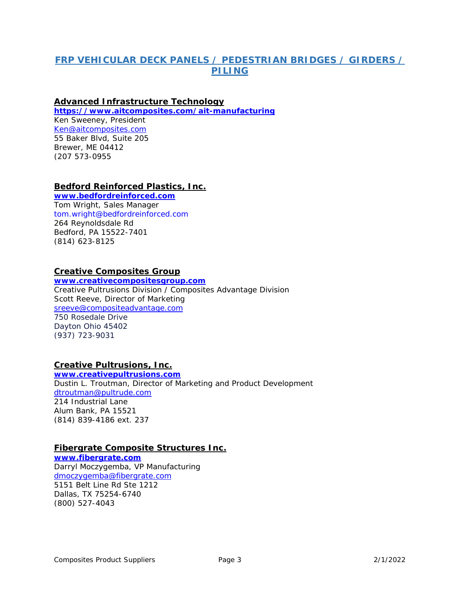# **FRP VEHICULAR DECK PANELS / PEDESTRIAN BRIDGES / GIRDERS / PILING**

## **Advanced Infrastructure Technology**

**https://www.aitcomposites.com/ait-manufacturing**

Ken Sweeney, President Ken@aitcomposites.com 55 Baker Blvd, Suite 205 Brewer, ME 04412 (207 573-0955

#### **Bedford Reinforced Plastics, Inc.**

**www.bedfordreinforced.com**  Tom Wright, Sales Manager tom.wright@bedfordreinforced.com 264 Reynoldsdale Rd Bedford, PA 15522-7401 (814) 623-8125

#### **Creative Composites Group**

**www.creativecompositesgroup.com**  Creative Pultrusions Division / Composites Advantage Division Scott Reeve, Director of Marketing sreeve@compositeadvantage.com 750 Rosedale Drive Dayton Ohio 45402 (937) 723-9031

# **Creative Pultrusions, Inc.**

**www.creativepultrusions.com** Dustin L. Troutman, Director of Marketing and Product Development dtroutman@pultrude.com 214 Industrial Lane Alum Bank, PA 15521 (814) 839-4186 ext. 237

# **Fibergrate Composite Structures Inc.**

**www.fibergrate.com**  Darryl Moczygemba, VP Manufacturing dmoczygemba@fibergrate.com 5151 Belt Line Rd Ste 1212 Dallas, TX 75254-6740 (800) 527-4043